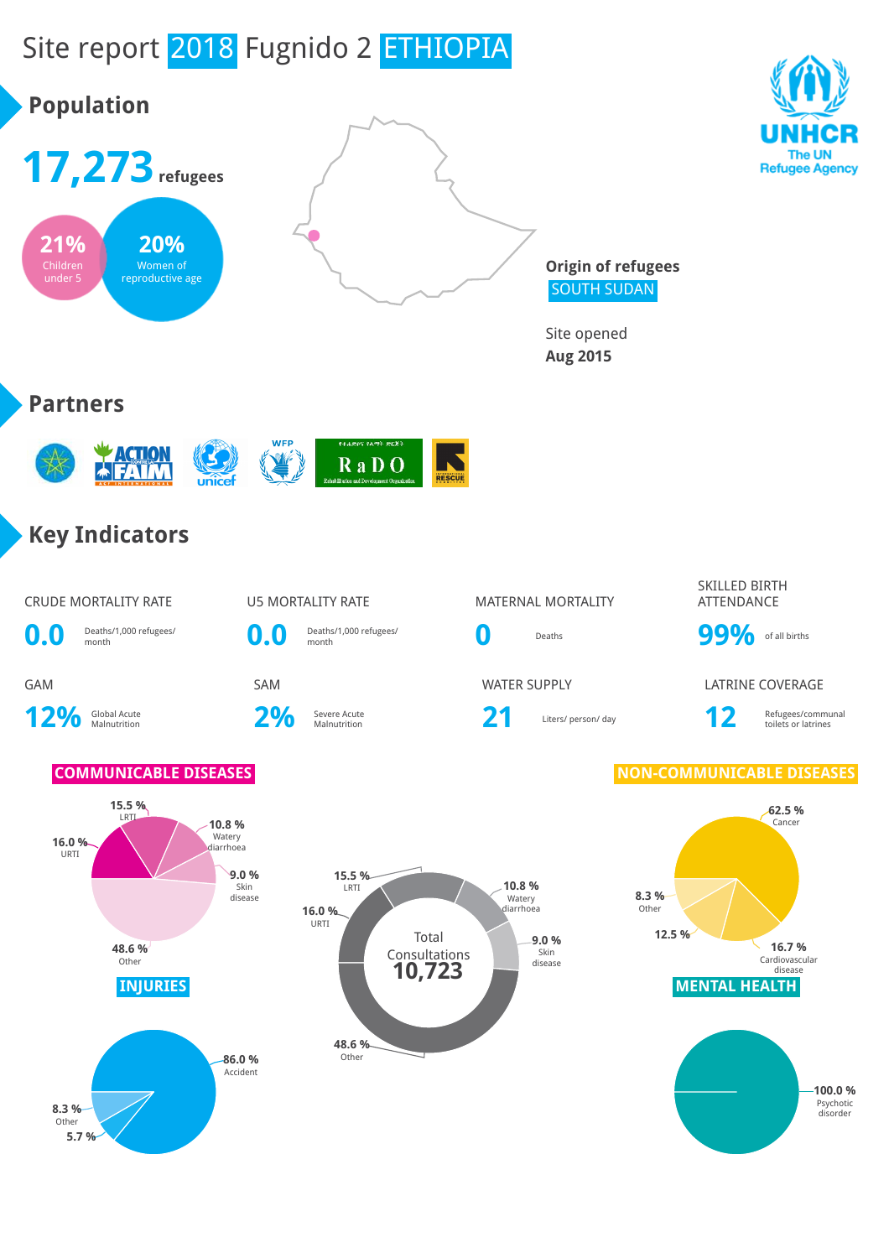

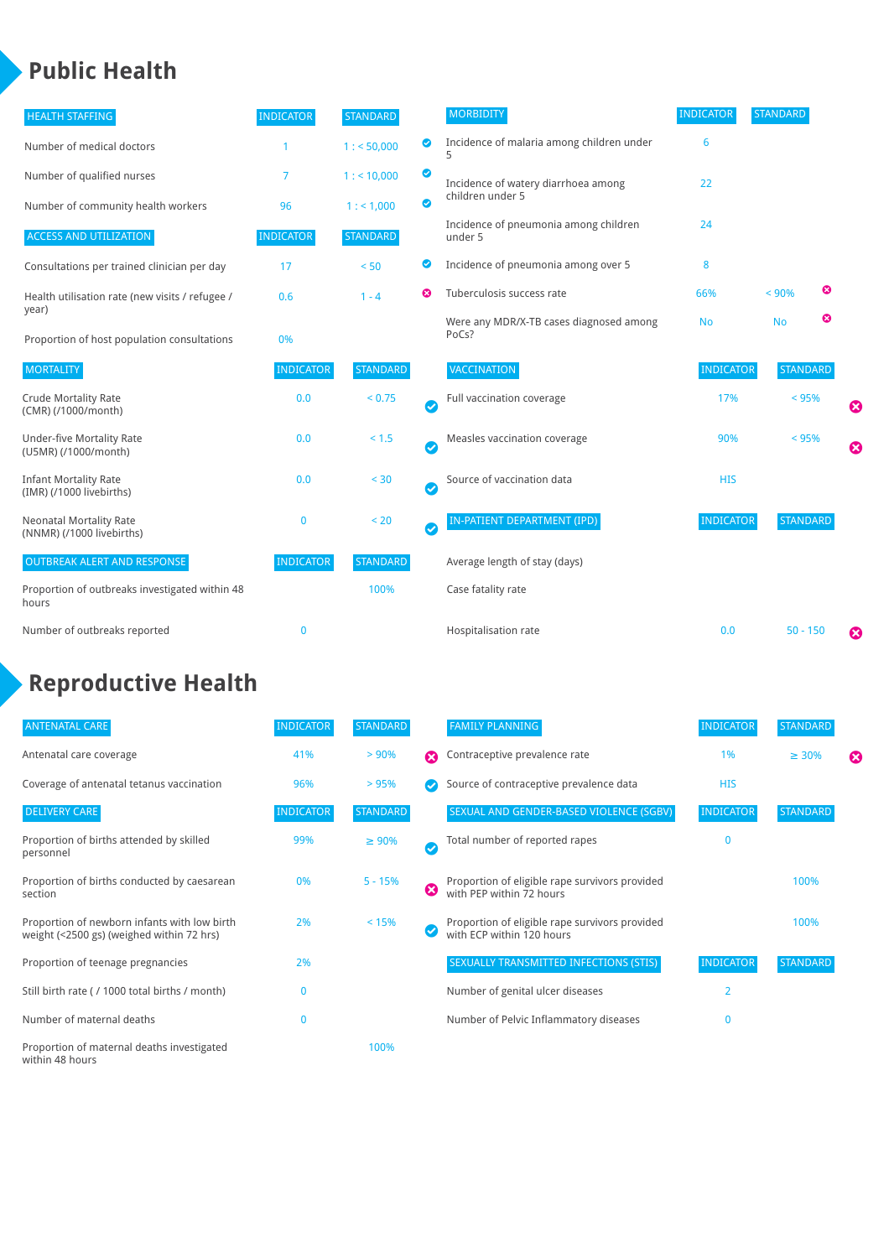## **Public Health**

| <b>HEALTH STAFFING</b>                                      | <b>INDICATOR</b> | <b>STANDARD</b> |                            | <b>MORBIDITY</b>                                 | <b>INDICATOR</b> | <b>STANDARD</b> |   |   |
|-------------------------------------------------------------|------------------|-----------------|----------------------------|--------------------------------------------------|------------------|-----------------|---|---|
| Number of medical doctors                                   |                  | 1: 50,000       | $\bullet$                  | Incidence of malaria among children under        | 6                |                 |   |   |
| Number of qualified nurses                                  | $\overline{7}$   | 1:10,000        | $\bullet$                  | Incidence of watery diarrhoea among              | 22               |                 |   |   |
| Number of community health workers                          | 96               | 1: 1,000        | $\bullet$                  | children under 5                                 |                  |                 |   |   |
| <b>ACCESS AND UTILIZATION</b>                               | <b>INDICATOR</b> | <b>STANDARD</b> |                            | Incidence of pneumonia among children<br>under 5 | 24               |                 |   |   |
| Consultations per trained clinician per day                 | 17               | < 50            | ◙                          | Incidence of pneumonia among over 5              | 8                |                 |   |   |
| Health utilisation rate (new visits / refugee /             | 0.6              | $1 - 4$         | ణ                          | Tuberculosis success rate                        | 66%              | < 90%           | ☺ |   |
| year)<br>Proportion of host population consultations        | 0%               |                 |                            | Were any MDR/X-TB cases diagnosed among<br>PoCs? | <b>No</b>        | <b>No</b>       | ☺ |   |
| <b>MORTALITY</b>                                            | <b>INDICATOR</b> | <b>STANDARD</b> |                            | <b>VACCINATION</b>                               | <b>INDICATOR</b> | <b>STANDARD</b> |   |   |
| <b>Crude Mortality Rate</b><br>(CMR) (/1000/month)          | 0.0              | < 0.75          | Ø                          | Full vaccination coverage                        | 17%              | $< 95\%$        |   | Ø |
| Under-five Mortality Rate<br>(U5MR) (/1000/month)           | 0.0              | $< 1.5$         | Ø                          | Measles vaccination coverage                     | 90%              | < 95%           |   | Ø |
| <b>Infant Mortality Rate</b><br>(IMR) (/1000 livebirths)    | 0.0              | $< 30$          | Ø                          | Source of vaccination data                       | <b>HIS</b>       |                 |   |   |
| <b>Neonatal Mortality Rate</b><br>(NNMR) (/1000 livebirths) | $\bf{0}$         | < 20            | $\boldsymbol{\mathcal{S}}$ | <b>IN-PATIENT DEPARTMENT (IPD)</b>               | <b>INDICATOR</b> | <b>STANDARD</b> |   |   |
| <b>OUTBREAK ALERT AND RESPONSE</b>                          | <b>INDICATOR</b> | <b>STANDARD</b> |                            | Average length of stay (days)                    |                  |                 |   |   |
| Proportion of outbreaks investigated within 48<br>hours     |                  | 100%            |                            | Case fatality rate                               |                  |                 |   |   |
| Number of outbreaks reported                                | $\bf{0}$         |                 |                            | Hospitalisation rate                             | 0.0              | $50 - 150$      |   | Ø |

# **Reproductive Health**

| <b>ANTENATAL CARE</b>                                                                     | <b>INDICATOR</b> | <b>STANDARD</b> |                       | <b>FAMILY PLANNING</b>                                                      | <b>INDICATOR</b> | <b>STANDARD</b> |   |
|-------------------------------------------------------------------------------------------|------------------|-----------------|-----------------------|-----------------------------------------------------------------------------|------------------|-----------------|---|
| Antenatal care coverage                                                                   | 41%              | > 90%           | $\boldsymbol{\Omega}$ | Contraceptive prevalence rate                                               | 1%               | $\geq 30\%$     | ೞ |
| Coverage of antenatal tetanus vaccination                                                 | 96%              | >95%            |                       | Source of contraceptive prevalence data                                     | <b>HIS</b>       |                 |   |
| <b>DELIVERY CARE</b>                                                                      | <b>INDICATOR</b> | <b>STANDARD</b> |                       | SEXUAL AND GENDER-BASED VIOLENCE (SGBV)                                     | <b>INDICATOR</b> | <b>STANDARD</b> |   |
| Proportion of births attended by skilled<br>personnel                                     | 99%              | $\geq 90\%$     | Ø                     | Total number of reported rapes                                              | O                |                 |   |
| Proportion of births conducted by caesarean<br>section                                    | 0%               | $5 - 15%$       | ظ                     | Proportion of eligible rape survivors provided<br>with PEP within 72 hours  |                  | 100%            |   |
| Proportion of newborn infants with low birth<br>weight (<2500 gs) (weighed within 72 hrs) | 2%               | < 15%           |                       | Proportion of eligible rape survivors provided<br>with ECP within 120 hours |                  | 100%            |   |
| Proportion of teenage pregnancies                                                         | 2%               |                 |                       | SEXUALLY TRANSMITTED INFECTIONS (STIS)                                      | <b>INDICATOR</b> | <b>STANDARD</b> |   |
| Still birth rate (/1000 total births / month)                                             | n                |                 |                       | Number of genital ulcer diseases                                            | $\overline{2}$   |                 |   |
| Number of maternal deaths                                                                 | 0                |                 |                       | Number of Pelvic Inflammatory diseases                                      | O                |                 |   |
| Proportion of maternal deaths investigated<br>within 48 hours                             |                  | 100%            |                       |                                                                             |                  |                 |   |